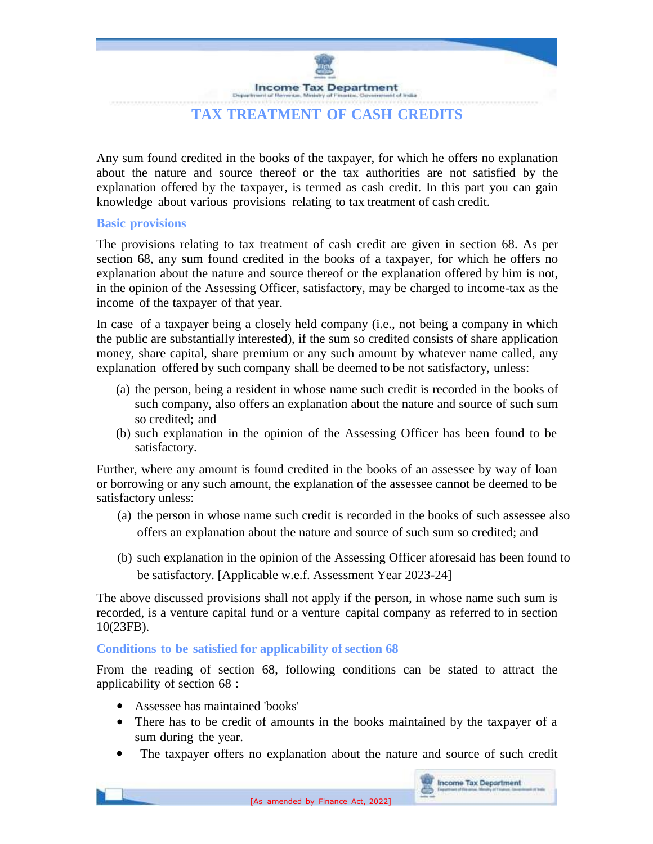**Income Tax Department** 

# **TAX TREATMENT OF CASH CREDITS**

Any sum found credited in the books of the taxpayer, for which he offers no explanation about the nature and source thereof or the tax authorities are not satisfied by the explanation offered by the taxpayer, is termed as cash credit. In this part you can gain knowledge about various provisions relating to tax treatment of cash credit.

### **Basic provisions**

The provisions relating to tax treatment of cash credit are given in section 68. As per section 68, any sum found credited in the books of a taxpayer, for which he offers no explanation about the nature and source thereof or the explanation offered by him is not, in the opinion of the Assessing Officer, satisfactory, may be charged to income-tax as the income of the taxpayer of that year.

In case of a taxpayer being a closely held company (i.e., not being a company in which the public are substantially interested), if the sum so credited consists of share application money, share capital, share premium or any such amount by whatever name called, any explanation offered by such company shall be deemed to be not satisfactory, unless:

- (a) the person, being a resident in whose name such credit is recorded in the books of such company, also offers an explanation about the nature and source of such sum so credited; and
- (b) such explanation in the opinion of the Assessing Officer has been found to be satisfactory.

Further, where any amount is found credited in the books of an assessee by way of loan or borrowing or any such amount, the explanation of the assessee cannot be deemed to be satisfactory unless:

- (a) the person in whose name such credit is recorded in the books of such assessee also offers an explanation about the nature and source of such sum so credited; and
- (b) such explanation in the opinion of the Assessing Officer aforesaid has been found to be satisfactory. [Applicable w.e.f. Assessment Year 2023-24]

The above discussed provisions shall not apply if the person, in whose name such sum is recorded, is a venture capital fund or a venture capital company as referred to in section 10(23FB).

## **Conditions to be satisfied for applicability of section 68**

From the reading of section 68, following conditions can be stated to attract the applicability of section 68 :

- Assessee has maintained 'books'
- There has to be credit of amounts in the books maintained by the taxpayer of a sum during the year.
- The taxpayer offers no explanation about the nature and source of such credit

**Income Tax Department**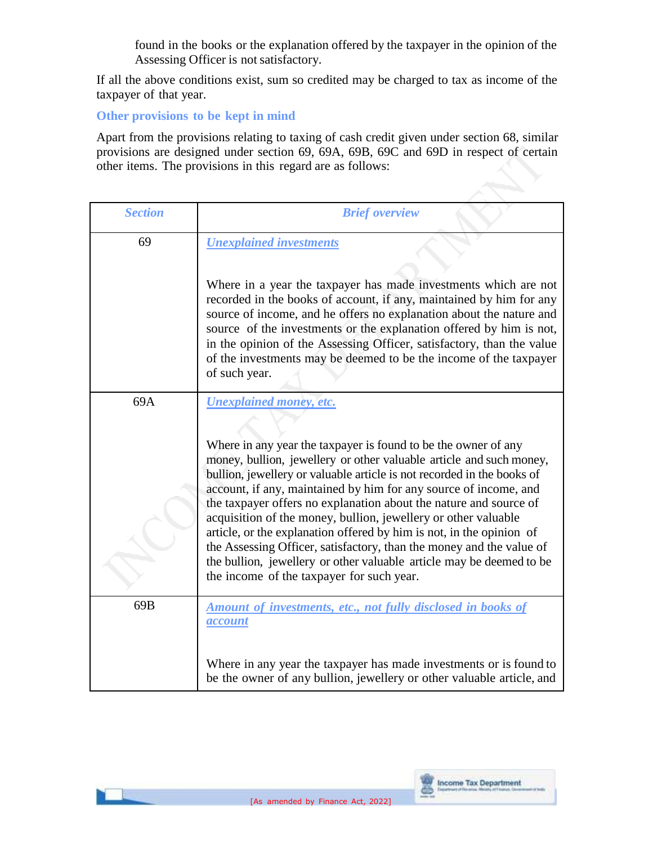found in the books or the explanation offered by the taxpayer in the opinion of the Assessing Officer is not satisfactory.

If all the above conditions exist, sum so credited may be charged to tax as income of the taxpayer of that year.

**Other provisions to be kept in mind**

Apart from the provisions relating to taxing of cash credit given under section 68, similar provisions are designed under section 69, 69A, 69B, 69C and 69D in respect of certain other items. The provisions in this regard are as follows:

| <b>Section</b> | <b>Brief overview</b>                                                                                                                                                                                                                                                                                                                                                                                                                                                                                                                                                                                                                                                                                                             |  |
|----------------|-----------------------------------------------------------------------------------------------------------------------------------------------------------------------------------------------------------------------------------------------------------------------------------------------------------------------------------------------------------------------------------------------------------------------------------------------------------------------------------------------------------------------------------------------------------------------------------------------------------------------------------------------------------------------------------------------------------------------------------|--|
| 69             | <b>Unexplained investments</b><br>Where in a year the taxpayer has made investments which are not<br>recorded in the books of account, if any, maintained by him for any<br>source of income, and he offers no explanation about the nature and<br>source of the investments or the explanation offered by him is not,<br>in the opinion of the Assessing Officer, satisfactory, than the value<br>of the investments may be deemed to be the income of the taxpayer<br>of such year.                                                                                                                                                                                                                                             |  |
| 69A            | <b>Unexplained money, etc.</b><br>Where in any year the taxpayer is found to be the owner of any<br>money, bullion, jewellery or other valuable article and such money,<br>bullion, jewellery or valuable article is not recorded in the books of<br>account, if any, maintained by him for any source of income, and<br>the taxpayer offers no explanation about the nature and source of<br>acquisition of the money, bullion, jewellery or other valuable<br>article, or the explanation offered by him is not, in the opinion of<br>the Assessing Officer, satisfactory, than the money and the value of<br>the bullion, jewellery or other valuable article may be deemed to be<br>the income of the taxpayer for such year. |  |
| 69B            | <b>Amount of investments, etc., not fully disclosed in books of</b><br><i>account</i><br>Where in any year the taxpayer has made investments or is found to<br>be the owner of any bullion, jewellery or other valuable article, and                                                                                                                                                                                                                                                                                                                                                                                                                                                                                              |  |

罵

**Income Tax Department**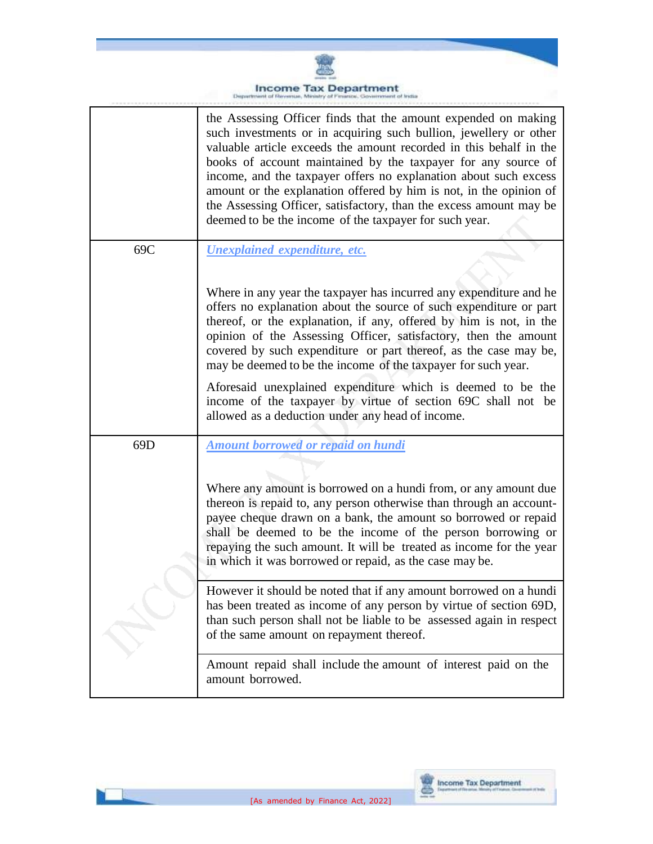

#### **Income Tax Department**<br>traint of Revenue, Ministry of Finance, Government of India Depa

|                 | the Assessing Officer finds that the amount expended on making<br>such investments or in acquiring such bullion, jewellery or other<br>valuable article exceeds the amount recorded in this behalf in the<br>books of account maintained by the taxpayer for any source of<br>income, and the taxpayer offers no explanation about such excess<br>amount or the explanation offered by him is not, in the opinion of<br>the Assessing Officer, satisfactory, than the excess amount may be<br>deemed to be the income of the taxpayer for such year. |  |  |
|-----------------|------------------------------------------------------------------------------------------------------------------------------------------------------------------------------------------------------------------------------------------------------------------------------------------------------------------------------------------------------------------------------------------------------------------------------------------------------------------------------------------------------------------------------------------------------|--|--|
| 69C             | Unexplained expenditure, etc.                                                                                                                                                                                                                                                                                                                                                                                                                                                                                                                        |  |  |
|                 | Where in any year the taxpayer has incurred any expenditure and he<br>offers no explanation about the source of such expenditure or part<br>thereof, or the explanation, if any, offered by him is not, in the<br>opinion of the Assessing Officer, satisfactory, then the amount<br>covered by such expenditure or part thereof, as the case may be,<br>may be deemed to be the income of the taxpayer for such year.                                                                                                                               |  |  |
|                 | Aforesaid unexplained expenditure which is deemed to be the<br>income of the taxpayer by virtue of section 69C shall not be<br>allowed as a deduction under any head of income.                                                                                                                                                                                                                                                                                                                                                                      |  |  |
| 69 <sub>D</sub> | <b>Amount borrowed or repaid on hundi</b>                                                                                                                                                                                                                                                                                                                                                                                                                                                                                                            |  |  |
|                 | Where any amount is borrowed on a hundi from, or any amount due<br>thereon is repaid to, any person otherwise than through an account-<br>payee cheque drawn on a bank, the amount so borrowed or repaid<br>shall be deemed to be the income of the person borrowing or<br>repaying the such amount. It will be treated as income for the year<br>in which it was borrowed or repaid, as the case may be.                                                                                                                                            |  |  |
|                 | However it should be noted that if any amount borrowed on a hundi<br>has been treated as income of any person by virtue of section 69D,<br>than such person shall not be liable to be assessed again in respect<br>of the same amount on repayment thereof.                                                                                                                                                                                                                                                                                          |  |  |
|                 | Amount repaid shall include the amount of interest paid on the<br>amount borrowed.                                                                                                                                                                                                                                                                                                                                                                                                                                                                   |  |  |



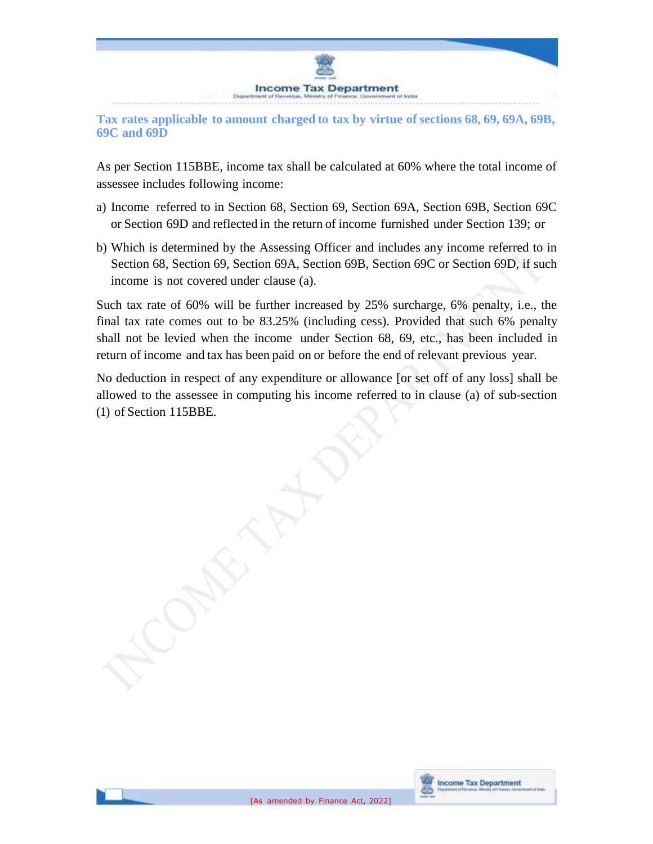

**Tax rates applicable to amount charged to tax by virtue of sections 68, 69, 69A, 69B, 69C and 69D**

As per Section 115BBE, income tax shall be calculated at 60% where the total income of assessee includes following income:

- a) Income referred to in Section 68, Section 69, Section 69A, Section 69B, Section 69C or Section 69D and reflected in the return of income furnished under Section 139; or
- b) Which is determined by the Assessing Officer and includes any income referred to in Section 68, Section 69, Section 69A, Section 69B, Section 69C or Section 69D, if such income is not covered under clause (a).

Such tax rate of 60% will be further increased by 25% surcharge, 6% penalty, i.e., the final tax rate comes out to be 83.25% (including cess). Provided that such 6% penalty shall not be levied when the income under Section 68, 69, etc., has been included in return of income and tax has been paid on or before the end of relevant previous year.

No deduction in respect of any expenditure or allowance [or set off of any loss] shall be allowed to the assessee in computing his income referred to in clause (a) of sub-section (1) of Section 115BBE.

**Income Tax Department** 

疊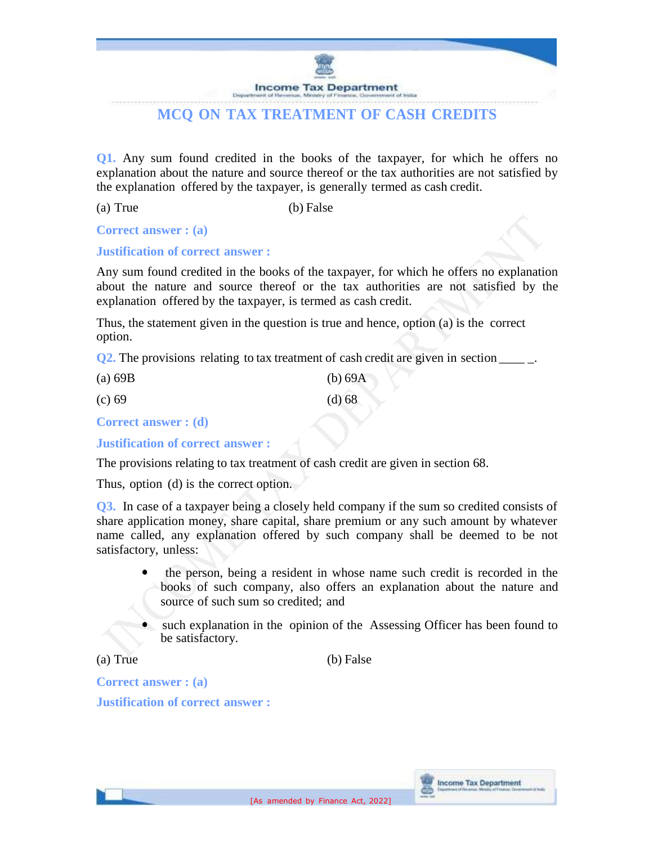**Income Tax Department** Depart

# **MCQ ON TAX TREATMENT OF CASH CREDITS**

**Q1.** Any sum found credited in the books of the taxpayer, for which he offers no explanation about the nature and source thereof or the tax authorities are not satisfied by the explanation offered by the taxpayer, is generally termed as cash credit.

(a) True (b) False

**Correct answer : (a)**

#### **Justification of correct answer :**

Any sum found credited in the books of the taxpayer, for which he offers no explanation about the nature and source thereof or the tax authorities are not satisfied by the explanation offered by the taxpayer, is termed as cash credit.

Thus, the statement given in the question is true and hence, option (a) is the correct option.

**Q2.** The provisions relating to tax treatment of cash credit are given in section

| (a) 69B | (b) 69A |
|---------|---------|
| (c) 69  | (d) 68  |

**Correct answer : (d)**

**Justification of correct answer :**

The provisions relating to tax treatment of cash credit are given in section 68.

Thus, option (d) is the correct option.

**Q3.** In case of a taxpayer being a closely held company if the sum so credited consists of share application money, share capital, share premium or any such amount by whatever name called, any explanation offered by such company shall be deemed to be not satisfactory, unless:

- the person, being a resident in whose name such credit is recorded in the books of such company, also offers an explanation about the nature and source of such sum so credited; and
- such explanation in the opinion of the Assessing Officer has been found to be satisfactory.

**Income Tax Department** 

(a) True (b) False

**Correct answer : (a) Justification of correct answer :**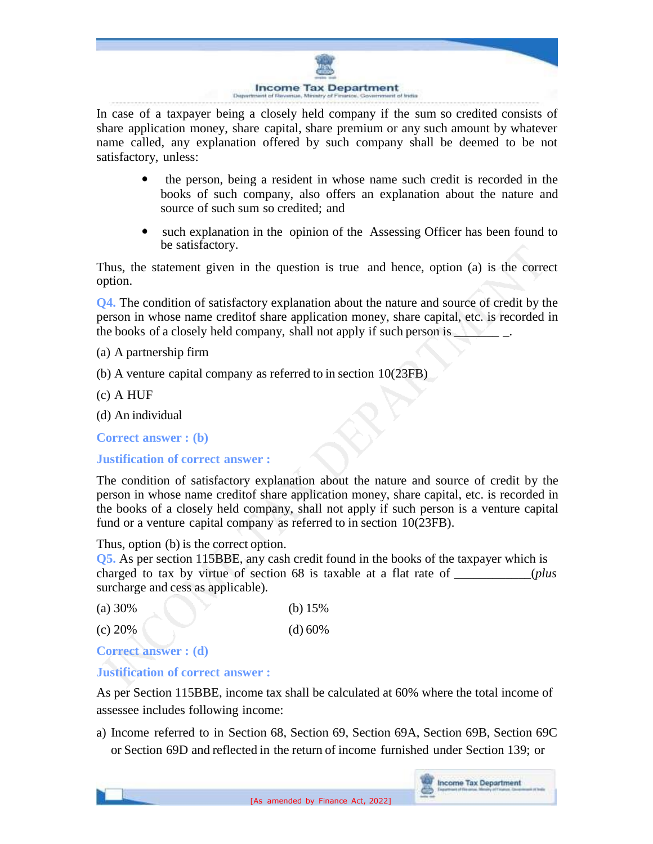

In case of a taxpayer being a closely held company if the sum so credited consists of share application money, share capital, share premium or any such amount by whatever name called, any explanation offered by such company shall be deemed to be not satisfactory, unless:

- $\bullet$  the person, being a resident in whose name such credit is recorded in the books of such company, also offers an explanation about the nature and source of such sum so credited; and
- such explanation in the opinion of the Assessing Officer has been found to be satisfactory.

Thus, the statement given in the question is true and hence, option (a) is the correct option.

**Q4.** The condition of satisfactory explanation about the nature and source of credit by the person in whose name creditof share application money, share capital, etc. is recorded in the books of a closely held company, shall not apply if such person is  $\Box$ 

(a) A partnership firm

- (b) A venture capital company as referred to in section 10(23FB)
- (c) A HUF

(d) An individual

**Correct answer : (b)**

**Justification of correct answer :**

The condition of satisfactory explanation about the nature and source of credit by the person in whose name creditof share application money, share capital, etc. is recorded in the books of a closely held company, shall not apply if such person is a venture capital fund or a venture capital company as referred to in section 10(23FB).

Thus, option (b) is the correct option.

**Q5.** As per section 115BBE, any cash credit found in the books of the taxpayer which is charged to tax by virtue of section 68 is taxable at a flat rate of \_\_\_\_\_\_\_\_\_\_\_\_(*plus* surcharge and cess as applicable).

(a) 30% (b) 15%

(c) 20% (d) 60%

**Correct answer : (d)**

## **Justification of correct answer :**

As per Section 115BBE, income tax shall be calculated at 60% where the total income of assessee includes following income:

a) Income referred to in Section 68, Section 69, Section 69A, Section 69B, Section 69C or Section 69D and reflected in the return of income furnished under Section 139; or

**Income Tax Department**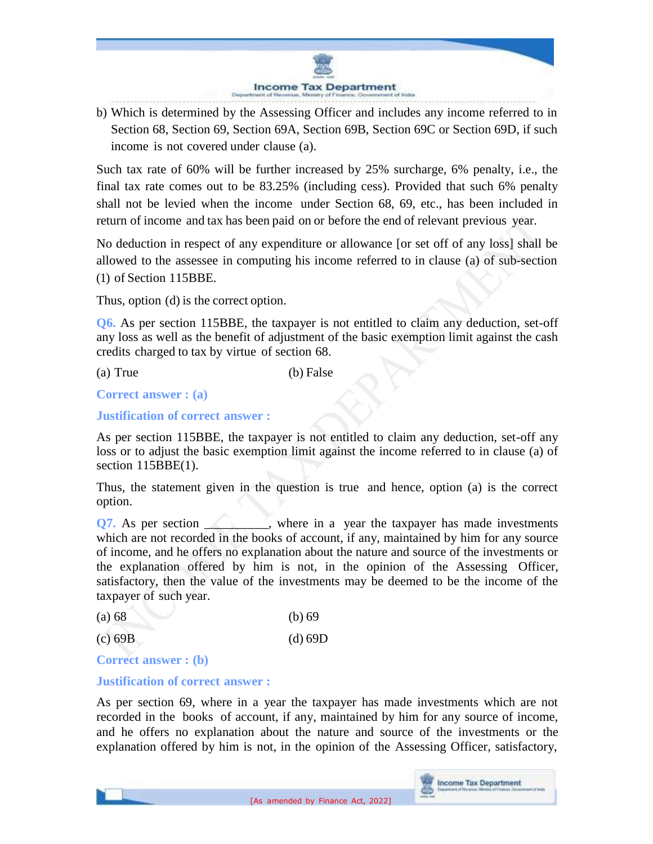

b) Which is determined by the Assessing Officer and includes any income referred to in Section 68, Section 69, Section 69A, Section 69B, Section 69C or Section 69D, if such income is not covered under clause (a).

Such tax rate of 60% will be further increased by 25% surcharge, 6% penalty, i.e., the final tax rate comes out to be 83.25% (including cess). Provided that such 6% penalty shall not be levied when the income under Section 68, 69, etc., has been included in return of income and tax has been paid on or before the end of relevant previous year.

No deduction in respect of any expenditure or allowance [or set off of any loss] shall be allowed to the assessee in computing his income referred to in clause (a) of sub-section (1) of Section 115BBE.

Thus, option (d) is the correct option.

**Q6.** As per section 115BBE, the taxpayer is not entitled to claim any deduction, set-off any loss as well as the benefit of adjustment of the basic exemption limit against the cash credits charged to tax by virtue of section 68.

(a) True (b) False

**Correct answer : (a)**

### **Justification of correct answer :**

As per section 115BBE, the taxpayer is not entitled to claim any deduction, set-off any loss or to adjust the basic exemption limit against the income referred to in clause (a) of section 115BBE(1).

Thus, the statement given in the question is true and hence, option (a) is the correct option.

**Q7.** As per section \_\_\_\_\_\_, where in a year the taxpayer has made investments which are not recorded in the books of account, if any, maintained by him for any source of income, and he offers no explanation about the nature and source of the investments or the explanation offered by him is not, in the opinion of the Assessing Officer, satisfactory, then the value of the investments may be deemed to be the income of the taxpayer of such year.

| (a) 68 |  | (b) 69 |
|--------|--|--------|
|--------|--|--------|

| $(c)$ 69B | $(d)$ 69D |
|-----------|-----------|
|-----------|-----------|

**Correct answer : (b)**

### **Justification of correct answer :**

As per section 69, where in a year the taxpayer has made investments which are not recorded in the books of account, if any, maintained by him for any source of income, and he offers no explanation about the nature and source of the investments or the explanation offered by him is not, in the opinion of the Assessing Officer, satisfactory,